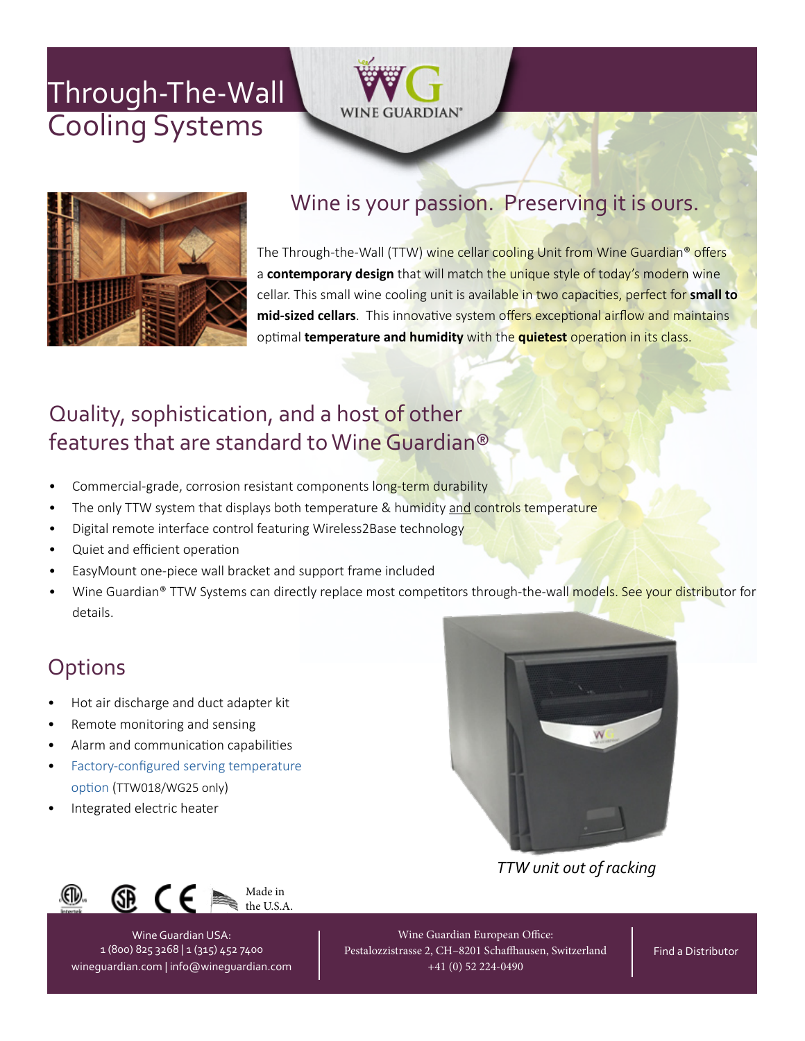# Cooling Systems [Through-The-Wal](https://wineguardian.com/wine-cellar-cooling-units/through-the-wall/)[l](https://wineguardian.com/)





## Wine is your passion. Preserving it is ours.

The Through-the-Wall (TTW) wine cellar cooling Unit from Wine Guardian® offers a **contemporary design** that will match the unique style of today's modern wine cellar. This small wine cooling unit is available in two capacities, perfect for **small to mid-sized cellars**. This innovative system offers exceptional airflow and maintains optimal **temperature and humidity** with the **quietest** operation in its class.

## Quality, sophistication, and a host of other features that are standard to Wine Guardian®

- Commercial-grade, corrosion resistant components long-term durability
- The only TTW system that displays both temperature & humidity and controls temperature
- Digital remote interface control featuring Wireless2Base technology
- Quiet and efficient operation
- EasyMount one-piece wall bracket and support frame included
- Wine Guardian® TTW Systems can directly replace most competitors through-the-wall models. See your distributor for details.

## **Options**

- Hot air discharge and duct adapter kit
- Remote monitoring and sensing
- Alarm and communication capabilities
- [Factory-configured serving temperature](https://wineguardian.com/wine-cellars/wine-cooling-technology/serving-temperature-option/)  [option](https://wineguardian.com/wine-cellars/wine-cooling-technology/serving-temperature-option/) (TTW018/WG25 only)
- Integrated electric heater



*TTW unit out of racking*



Wine Guardian USA: 1 (800) 825 3268 | 1 (315) 452 7400 [wineguardian.com](https://wineguardian.com/) | [info@wineguardian.com](mailto:info@wineguardian.com)

Wine Guardian European Office: Pestalozzistrasse 2, CH–8201 Schaffhausen, Switzerland +41 (0) 52 224-0490

[Find a Distributor](https://wineguardian.com/support-wine-cellar-consultation/distributors-united-states-canada-international/)